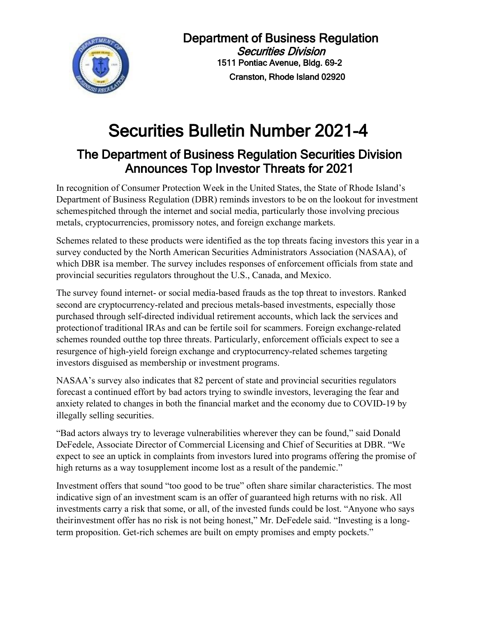

## Securities Bulletin Number 2021-4

## The Department of Business Regulation Securities Division Announces Top Investor Threats for 2021

In recognition of Consumer Protection Week in the United States, the State of Rhode Island's Department of Business Regulation (DBR) reminds investors to be on the lookout for investment schemespitched through the internet and social media, particularly those involving precious metals, cryptocurrencies, promissory notes, and foreign exchange markets.

Schemes related to these products were identified as the top threats facing investors this year in a survey conducted by the North American Securities Administrators Association (NASAA), of which DBR isa member. The survey includes responses of enforcement officials from state and provincial securities regulators throughout the U.S., Canada, and Mexico.

The survey found internet- or social media-based frauds as the top threat to investors. Ranked second are cryptocurrency-related and precious metals-based investments, especially those purchased through self-directed individual retirement accounts, which lack the services and protectionof traditional IRAs and can be fertile soil for scammers. Foreign exchange-related schemes rounded outthe top three threats. Particularly, enforcement officials expect to see a resurgence of high-yield foreign exchange and cryptocurrency-related schemes targeting investors disguised as membership or investment programs.

NASAA's survey also indicates that 82 percent of state and provincial securities regulators forecast a continued effort by bad actors trying to swindle investors, leveraging the fear and anxiety related to changes in both the financial market and the economy due to COVID-19 by illegally selling securities.

"Bad actors always try to leverage vulnerabilities wherever they can be found," said Donald DeFedele, Associate Director of Commercial Licensing and Chief of Securities at DBR. "We expect to see an uptick in complaints from investors lured into programs offering the promise of high returns as a way to supplement income lost as a result of the pandemic."

Investment offers that sound "too good to be true" often share similar characteristics. The most indicative sign of an investment scam is an offer of guaranteed high returns with no risk. All investments carry a risk that some, or all, of the invested funds could be lost. "Anyone who says theirinvestment offer has no risk is not being honest," Mr. DeFedele said. "Investing is a longterm proposition. Get-rich schemes are built on empty promises and empty pockets."